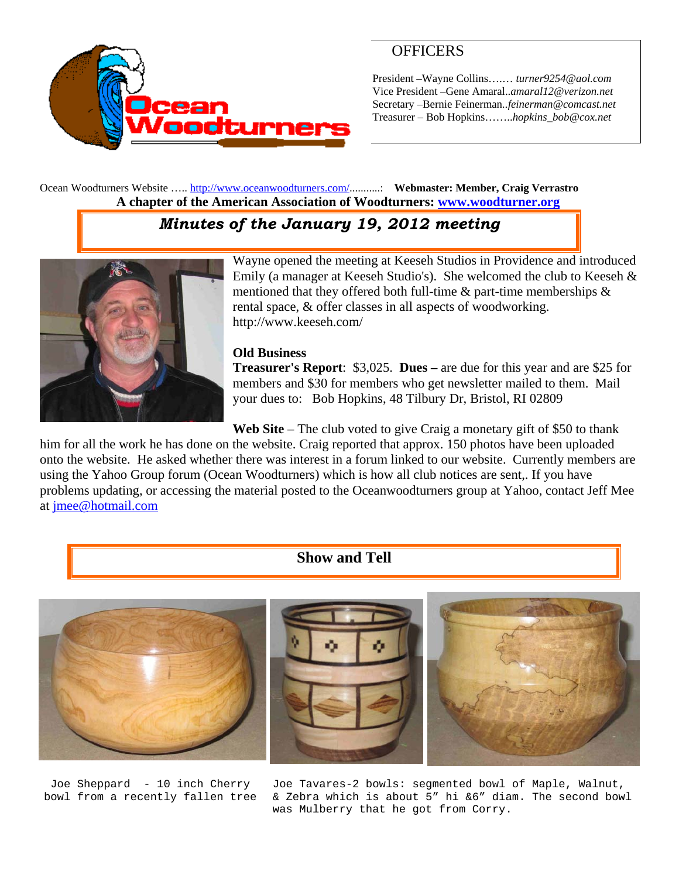

### **OFFICERS**

President –Wayne Collins….… *turner9254@aol.com*  Vice President –Gene Amaral..*amaral12@verizon.net* Secretary –Bernie Feinerman*..feinerman@comcast.net*  Treasurer – Bob Hopkins……..*hopkins\_bob@cox.net*

Ocean Woodturners Website ….. http://www.oceanwoodturners.com/...........: **Webmaster: Member, Craig Verrastro A chapter of the American Association of Woodturners: www.woodturner.org** 

# *Minutes of the January 19, 2012 meeting*



Wayne opened the meeting at Keeseh Studios in Providence and introduced Emily (a manager at Keeseh Studio's). She welcomed the club to Keeseh & mentioned that they offered both full-time  $\&$  part-time memberships  $\&$ rental space, & offer classes in all aspects of woodworking. http://www.keeseh.com/

#### **Old Business**

**Treasurer's Report**: \$3,025. **Dues –** are due for this year and are \$25 for members and \$30 for members who get newsletter mailed to them. Mail your dues to: Bob Hopkins, 48 Tilbury Dr, Bristol, RI 02809

Web Site – The club voted to give Craig a monetary gift of \$50 to thank

him for all the work he has done on the website. Craig reported that approx. 150 photos have been uploaded onto the website. He asked whether there was interest in a forum linked to our website. Currently members are using the Yahoo Group forum (Ocean Woodturners) which is how all club notices are sent,. If you have problems updating, or accessing the material posted to the Oceanwoodturners group at Yahoo, contact Jeff Mee at jmee@hotmail.com

#### **Show and Tell**



Joe Sheppard - 10 inch Cherry bowl from a recently fallen tree Joe Tavares-2 bowls: segmented bowl of Maple, Walnut, & Zebra which is about 5" hi &6" diam. The second bowl was Mulberry that he got from Corry.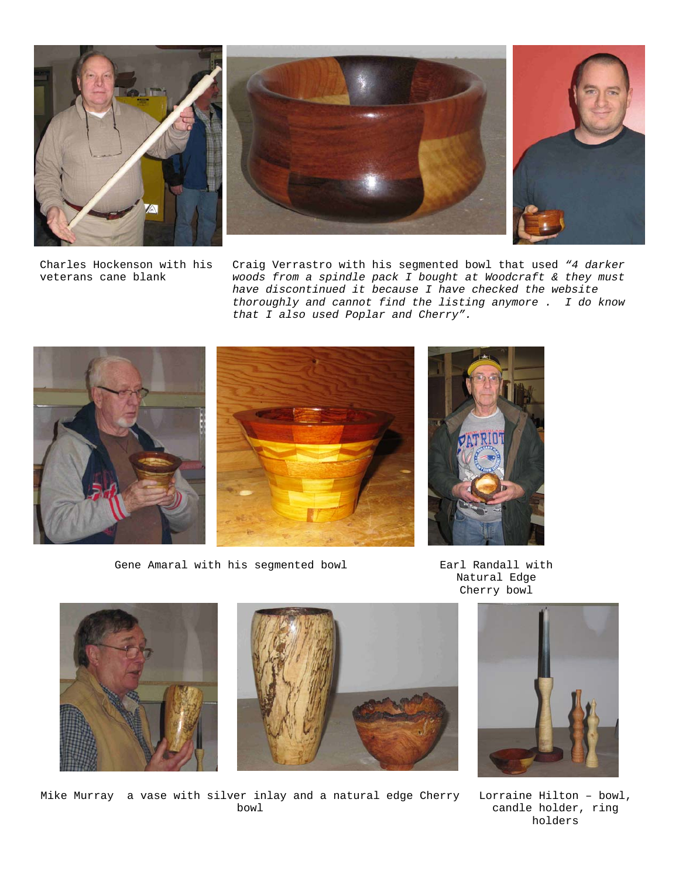





Charles Hockenson with his veterans cane blank

Craig Verrastro with his segmented bowl that used *"4 darker woods from a spindle pack I bought at Woodcraft & they must have discontinued it because I have checked the website thoroughly and cannot find the listing anymore . I do know that I also used Poplar and Cherry".*



Gene Amaral with his segmented bowl Earl Randall with

Natural Edge Cherry bowl



Mike Murray a vase with silver inlay and a natural edge Cherry Lorraine Hilton – bowl, bowl



candle holder, ring holders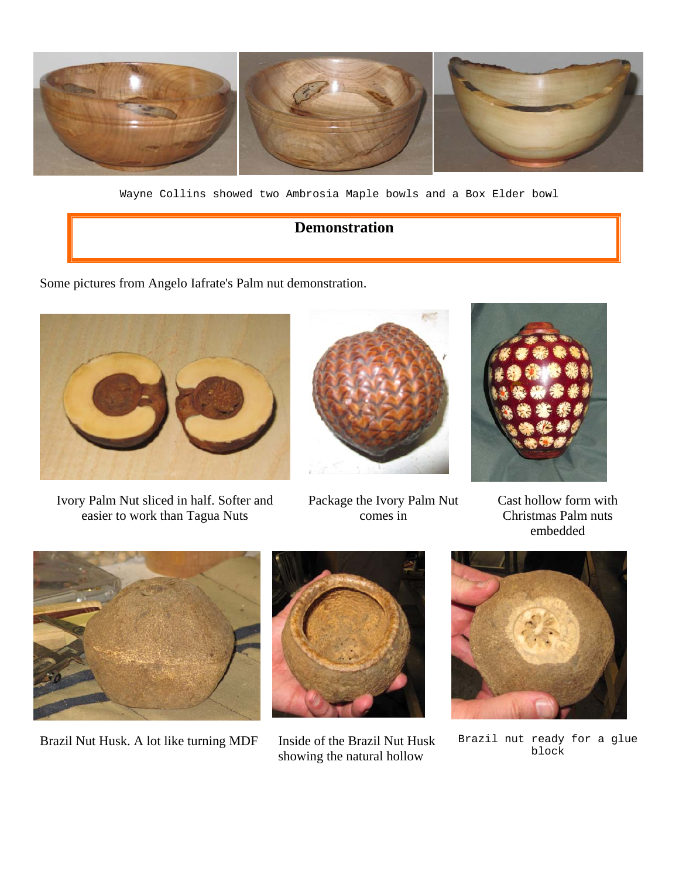

Wayne Collins showed two Ambrosia Maple bowls and a Box Elder bowl

## **Demonstration**

Some pictures from Angelo Iafrate's Palm nut demonstration.



Ivory Palm Nut sliced in half. Softer and easier to work than Tagua Nuts



Package the Ivory Palm Nut comes in



Cast hollow form with Christmas Palm nuts embedded



Brazil Nut Husk. A lot like turning MDF Inside of the Brazil Nut Husk



showing the natural hollow



Brazil nut ready for a glue block